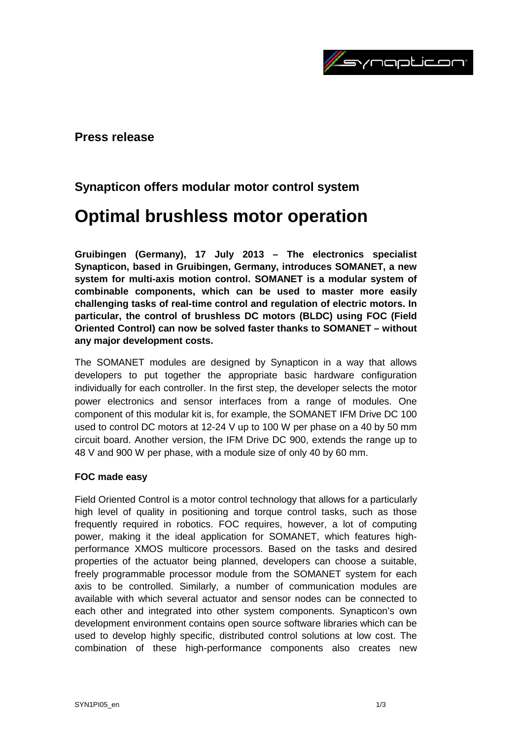

## **Press release**

# **Synapticon offers modular motor control system**

# **Optimal brushless motor operation**

**Gruibingen (Germany), 17 July 2013 – The electronics specialist Synapticon, based in Gruibingen, Germany, introduces SOMANET, a new system for multi-axis motion control. SOMANET is a modular system of combinable components, which can be used to master more easily challenging tasks of real-time control and regulation of electric motors. In particular, the control of brushless DC motors (BLDC) using FOC (Field Oriented Control) can now be solved faster thanks to SOMANET – without any major development costs.**

The SOMANET modules are designed by Synapticon in a way that allows developers to put together the appropriate basic hardware configuration individually for each controller. In the first step, the developer selects the motor power electronics and sensor interfaces from a range of modules. One component of this modular kit is, for example, the SOMANET IFM Drive DC 100 used to control DC motors at 12-24 V up to 100 W per phase on a 40 by 50 mm circuit board. Another version, the IFM Drive DC 900, extends the range up to 48 V and 900 W per phase, with a module size of only 40 by 60 mm.

## **FOC made easy**

Field Oriented Control is a motor control technology that allows for a particularly high level of quality in positioning and torque control tasks, such as those frequently required in robotics. FOC requires, however, a lot of computing power, making it the ideal application for SOMANET, which features highperformance XMOS multicore processors. Based on the tasks and desired properties of the actuator being planned, developers can choose a suitable, freely programmable processor module from the SOMANET system for each axis to be controlled. Similarly, a number of communication modules are available with which several actuator and sensor nodes can be connected to each other and integrated into other system components. Synapticon's own development environment contains open source software libraries which can be used to develop highly specific, distributed control solutions at low cost. The combination of these high-performance components also creates new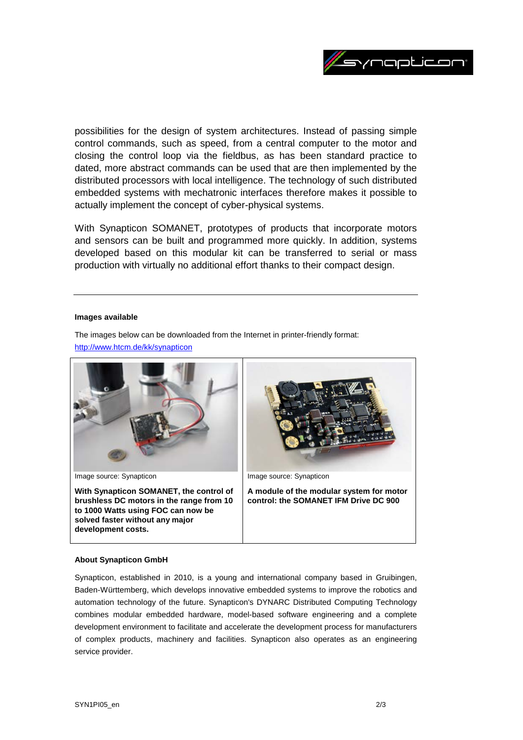

possibilities for the design of system architectures. Instead of passing simple control commands, such as speed, from a central computer to the motor and closing the control loop via the fieldbus, as has been standard practice to dated, more abstract commands can be used that are then implemented by the distributed processors with local intelligence. The technology of such distributed embedded systems with mechatronic interfaces therefore makes it possible to actually implement the concept of cyber-physical systems.

With Synapticon SOMANET, prototypes of products that incorporate motors and sensors can be built and programmed more quickly. In addition, systems developed based on this modular kit can be transferred to serial or mass production with virtually no additional effort thanks to their compact design.

#### **Images available**

The images below can be downloaded from the Internet in printer-friendly format: <http://www.htcm.de/kk/synapticon>



## **About Synapticon GmbH**

**development costs.**

Synapticon, established in 2010, is a young and international company based in Gruibingen, Baden-Württemberg, which develops innovative embedded systems to improve the robotics and automation technology of the future. Synapticon's DYNARC Distributed Computing Technology combines modular embedded hardware, model-based software engineering and a complete development environment to facilitate and accelerate the development process for manufacturers of complex products, machinery and facilities. Synapticon also operates as an engineering service provider.